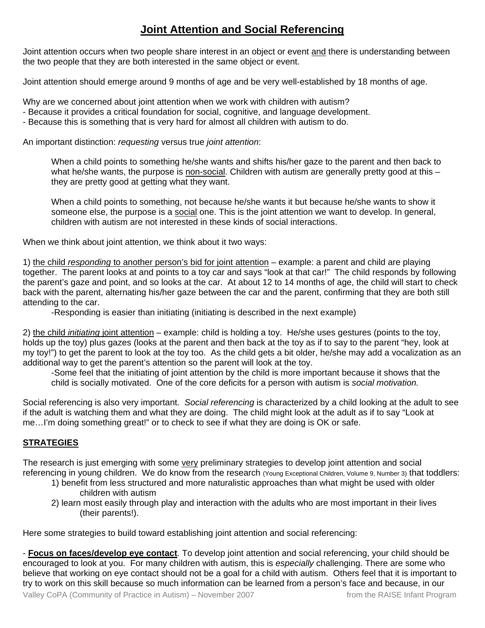## **Joint Attention and Social Referencing**

Joint attention occurs when two people share interest in an object or event and there is understanding between the two people that they are both interested in the same object or event.

Joint attention should emerge around 9 months of age and be very well-established by 18 months of age.

Why are we concerned about joint attention when we work with children with autism?

- Because it provides a critical foundation for social, cognitive, and language development.
- Because this is something that is very hard for almost all children with autism to do.

An important distinction: *requesting* versus true *joint attention*:

 When a child points to something he/she wants and shifts his/her gaze to the parent and then back to what he/she wants, the purpose is non-social. Children with autism are generally pretty good at this – they are pretty good at getting what they want.

 When a child points to something, not because he/she wants it but because he/she wants to show it someone else, the purpose is a social one. This is the joint attention we want to develop. In general, children with autism are not interested in these kinds of social interactions.

When we think about joint attention, we think about it two ways:

1) the child *responding* to another person's bid for joint attention – example: a parent and child are playing together. The parent looks at and points to a toy car and says "look at that car!" The child responds by following the parent's gaze and point, and so looks at the car. At about 12 to 14 months of age, the child will start to check back with the parent, alternating his/her gaze between the car and the parent, confirming that they are both still attending to the car.

-Responding is easier than initiating (initiating is described in the next example)

2) the child *initiating* joint attention – example: child is holding a toy. He/she uses gestures (points to the toy, holds up the toy) plus gazes (looks at the parent and then back at the toy as if to say to the parent "hey, look at my toy!") to get the parent to look at the toy too. As the child gets a bit older, he/she may add a vocalization as an additional way to get the parent's attention so the parent will look at the toy.

 -Some feel that the initiating of joint attention by the child is more important because it shows that the child is socially motivated. One of the core deficits for a person with autism is *social motivation.*

Social referencing is also very important. *Social referencing* is characterized by a child looking at the adult to see if the adult is watching them and what they are doing. The child might look at the adult as if to say "Look at me…I'm doing something great!" or to check to see if what they are doing is OK or safe.

## **STRATEGIES**

The research is just emerging with some very preliminary strategies to develop joint attention and social referencing in young children. We do know from the research (Young Exceptional Children, Volume 9, Number 3) that toddlers:

- 1) benefit from less structured and more naturalistic approaches than what might be used with older children with autism
- 2) learn most easily through play and interaction with the adults who are most important in their lives (their parents!).

Here some strategies to build toward establishing joint attention and social referencing:

- **Focus on faces/develop eye contact**. To develop joint attention and social referencing, your child should be encouraged to look at you. For many children with autism, this is *especially* challenging. There are some who believe that working on eye contact should not be a goal for a child with autism. Others feel that it is important to try to work on this skill because so much information can be learned from a person's face and because, in our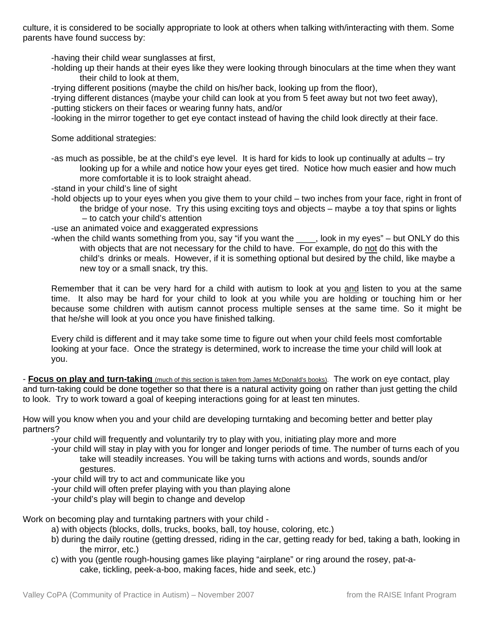culture, it is considered to be socially appropriate to look at others when talking with/interacting with them. Some parents have found success by:

-having their child wear sunglasses at first,

- -holding up their hands at their eyes like they were looking through binoculars at the time when they want their child to look at them,
- -trying different positions (maybe the child on his/her back, looking up from the floor),

 -trying different distances (maybe your child can look at you from 5 feet away but not two feet away), -putting stickers on their faces or wearing funny hats, and/or

-looking in the mirror together to get eye contact instead of having the child look directly at their face.

Some additional strategies:

 -as much as possible, be at the child's eye level. It is hard for kids to look up continually at adults – try looking up for a while and notice how your eyes get tired. Notice how much easier and how much more comfortable it is to look straight ahead.

-stand in your child's line of sight

 -hold objects up to your eyes when you give them to your child – two inches from your face, right in front of the bridge of your nose. Try this using exciting toys and objects – maybe a toy that spins or lights

– to catch your child's attention

-use an animated voice and exaggerated expressions

-when the child wants something from you, say "if you want the \_\_\_\_, look in my eyes" – but ONLY do this with objects that are not necessary for the child to have. For example, do not do this with the child's drinks or meals. However, if it is something optional but desired by the child, like maybe a new toy or a small snack, try this.

 Remember that it can be very hard for a child with autism to look at you and listen to you at the same time. It also may be hard for your child to look at you while you are holding or touching him or her because some children with autism cannot process multiple senses at the same time. So it might be that he/she will look at you once you have finished talking.

 Every child is different and it may take some time to figure out when your child feels most comfortable looking at your face. Once the strategy is determined, work to increase the time your child will look at you.

- **Focus on play and turn-taking** (much of this section is taken from James McDonald's books). The work on eye contact, play and turn-taking could be done together so that there is a natural activity going on rather than just getting the child to look. Try to work toward a goal of keeping interactions going for at least ten minutes.

How will you know when you and your child are developing turntaking and becoming better and better play partners?

-your child will frequently and voluntarily try to play with you, initiating play more and more

 -your child will stay in play with you for longer and longer periods of time. The number of turns each of you take will steadily increases. You will be taking turns with actions and words, sounds and/or gestures.

-your child will try to act and communicate like you

-your child will often prefer playing with you than playing alone

-your child's play will begin to change and develop

Work on becoming play and turntaking partners with your child -

- a) with objects (blocks, dolls, trucks, books, ball, toy house, coloring, etc.)
- b) during the daily routine (getting dressed, riding in the car, getting ready for bed, taking a bath, looking in the mirror, etc.)
- c) with you (gentle rough-housing games like playing "airplane" or ring around the rosey, pat-a cake, tickling, peek-a-boo, making faces, hide and seek, etc.)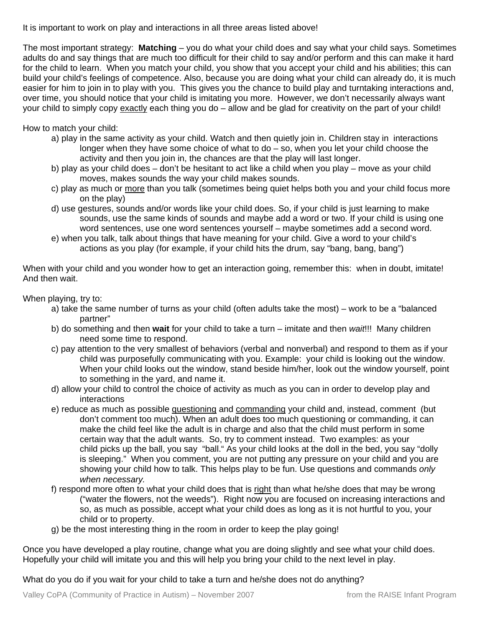It is important to work on play and interactions in all three areas listed above!

The most important strategy: **Matching** – you do what your child does and say what your child says. Sometimes adults do and say things that are much too difficult for their child to say and/or perform and this can make it hard for the child to learn. When you match your child, you show that you accept your child and his abilities; this can build your child's feelings of competence. Also, because you are doing what your child can already do, it is much easier for him to join in to play with you. This gives you the chance to build play and turntaking interactions and, over time, you should notice that your child is imitating you more. However, we don't necessarily always want your child to simply copy exactly each thing you do – allow and be glad for creativity on the part of your child!

How to match your child:

- a) play in the same activity as your child. Watch and then quietly join in. Children stay in interactions longer when they have some choice of what to do – so, when you let your child choose the activity and then you join in, the chances are that the play will last longer.
- b) play as your child does don't be hesitant to act like a child when you play move as your child moves, makes sounds the way your child makes sounds.
- c) play as much or more than you talk (sometimes being quiet helps both you and your child focus more on the play)
- d) use gestures, sounds and/or words like your child does. So, if your child is just learning to make sounds, use the same kinds of sounds and maybe add a word or two. If your child is using one word sentences, use one word sentences yourself – maybe sometimes add a second word.
- e) when you talk, talk about things that have meaning for your child. Give a word to your child's actions as you play (for example, if your child hits the drum, say "bang, bang, bang")

When with your child and you wonder how to get an interaction going, remember this: when in doubt, imitate! And then wait.

When playing, try to:

- a) take the same number of turns as your child (often adults take the most) work to be a "balanced partner"
- b) do something and then **wait** for your child to take a turn imitate and then *wait*!!! Many children need some time to respond.
- c) pay attention to the very smallest of behaviors (verbal and nonverbal) and respond to them as if your child was purposefully communicating with you. Example: your child is looking out the window. When your child looks out the window, stand beside him/her, look out the window yourself, point to something in the yard, and name it.
- d) allow your child to control the choice of activity as much as you can in order to develop play and interactions
- e) reduce as much as possible questioning and commanding your child and, instead, comment (but don't comment too much). When an adult does too much questioning or commanding, it can make the child feel like the adult is in charge and also that the child must perform in some certain way that the adult wants. So, try to comment instead. Two examples: as your child picks up the ball, you say "ball." As your child looks at the doll in the bed, you say "dolly is sleeping." When you comment, you are not putting any pressure on your child and you are showing your child how to talk. This helps play to be fun. Use questions and commands *only when necessary.*
- f) respond more often to what your child does that is right than what he/she does that may be wrong ("water the flowers, not the weeds"). Right now you are focused on increasing interactions and so, as much as possible, accept what your child does as long as it is not hurtful to you, your child or to property.
- g) be the most interesting thing in the room in order to keep the play going!

Once you have developed a play routine, change what you are doing slightly and see what your child does. Hopefully your child will imitate you and this will help you bring your child to the next level in play.

What do you do if you wait for your child to take a turn and he/she does not do anything?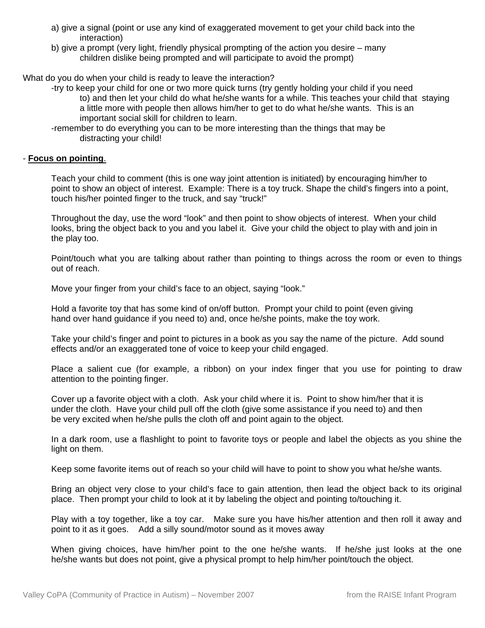- a) give a signal (point or use any kind of exaggerated movement to get your child back into the interaction)
- b) give a prompt (very light, friendly physical prompting of the action you desire many children dislike being prompted and will participate to avoid the prompt)

What do you do when your child is ready to leave the interaction?

 -try to keep your child for one or two more quick turns (try gently holding your child if you need to) and then let your child do what he/she wants for a while. This teaches your child that staying a little more with people then allows him/her to get to do what he/she wants. This is an important social skill for children to learn.

 -remember to do everything you can to be more interesting than the things that may be distracting your child!

## - **Focus on pointing**.

 Teach your child to comment (this is one way joint attention is initiated) by encouraging him/her to point to show an object of interest. Example: There is a toy truck. Shape the child's fingers into a point, touch his/her pointed finger to the truck, and say "truck!"

 Throughout the day, use the word "look" and then point to show objects of interest. When your child looks, bring the object back to you and you label it. Give your child the object to play with and join in the play too.

 Point/touch what you are talking about rather than pointing to things across the room or even to things out of reach.

Move your finger from your child's face to an object, saying "look."

 Hold a favorite toy that has some kind of on/off button. Prompt your child to point (even giving hand over hand guidance if you need to) and, once he/she points, make the toy work.

 Take your child's finger and point to pictures in a book as you say the name of the picture. Add sound effects and/or an exaggerated tone of voice to keep your child engaged.

 Place a salient cue (for example, a ribbon) on your index finger that you use for pointing to draw attention to the pointing finger.

 Cover up a favorite object with a cloth. Ask your child where it is. Point to show him/her that it is under the cloth. Have your child pull off the cloth (give some assistance if you need to) and then be very excited when he/she pulls the cloth off and point again to the object.

 In a dark room, use a flashlight to point to favorite toys or people and label the objects as you shine the light on them.

Keep some favorite items out of reach so your child will have to point to show you what he/she wants.

 Bring an object very close to your child's face to gain attention, then lead the object back to its original place. Then prompt your child to look at it by labeling the object and pointing to/touching it.

 Play with a toy together, like a toy car. Make sure you have his/her attention and then roll it away and point to it as it goes. Add a silly sound/motor sound as it moves away

 When giving choices, have him/her point to the one he/she wants. If he/she just looks at the one he/she wants but does not point, give a physical prompt to help him/her point/touch the object.